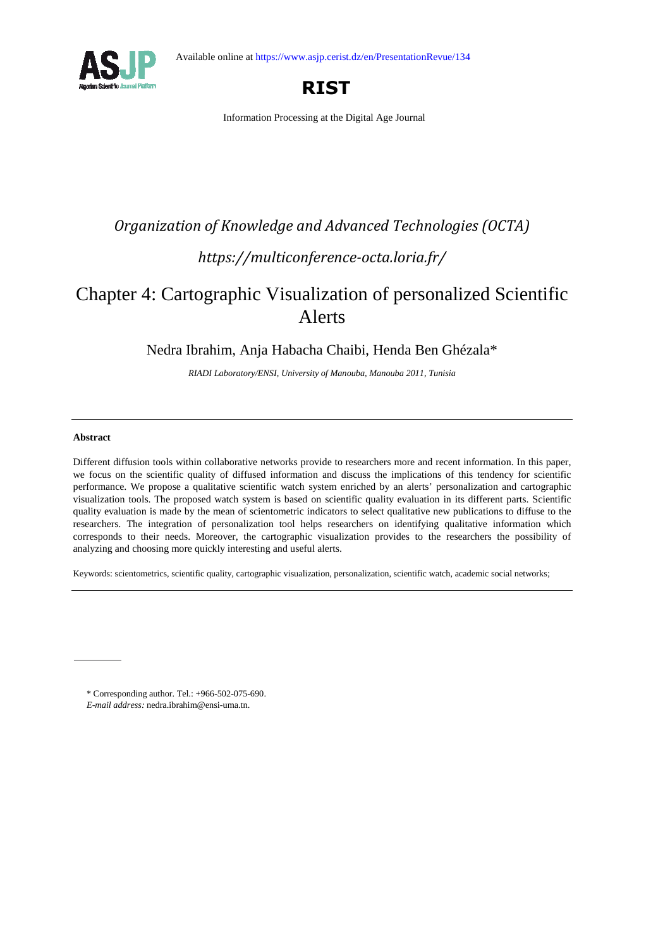

# **RIST**

Information Processing at the Digital Age Journal

# *Organization of Knowledge and Advanced Technologies (OCTA) https://multiconference-octa.loria.fr/*

# Chapter 4: Cartographic Visualization of personalized Scientific Alerts

Nedra Ibrahim, Anja Habacha Chaibi, Henda Ben Ghézala\*

*RIADI Laboratory/ENSI, University of Manouba, Manouba 2011, Tunisia* 

# **Abstract**

Different diffusion tools within collaborative networks provide to researchers more and recent information. In this paper, we focus on the scientific quality of diffused information and discuss the implications of this tendency for scientific performance. We propose a qualitative scientific watch system enriched by an alerts' personalization and cartographic visualization tools. The proposed watch system is based on scientific quality evaluation in its different parts. Scientific quality evaluation is made by the mean of scientometric indicators to select qualitative new publications to diffuse to the researchers. The integration of personalization tool helps researchers on identifying qualitative information which corresponds to their needs. Moreover, the cartographic visualization provides to the researchers the possibility of analyzing and choosing more quickly interesting and useful alerts.

Keywords: scientometrics, scientific quality, cartographic visualization, personalization, scientific watch, academic social networks;

\* Corresponding author. Tel.: +966-502-075-690.

*E-mail address:* nedra.ibrahim@ensi-uma.tn.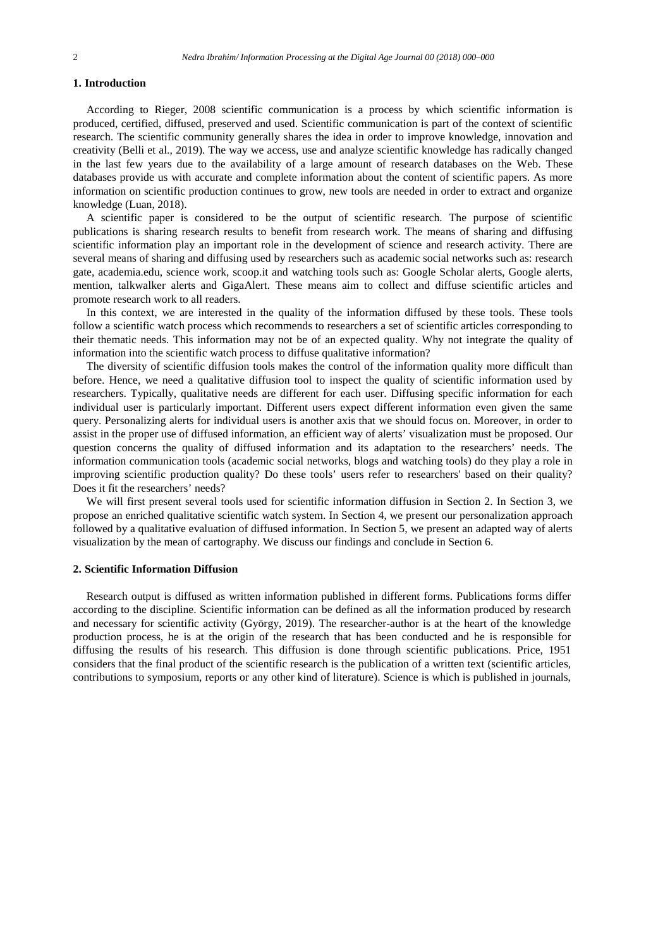## **1. Introduction**

According to Rieger, 2008 scientific communication is a process by which scientific information is produced, certified, diffused, preserved and used. Scientific communication is part of the context of scientific research. The scientific community generally shares the idea in order to improve knowledge, innovation and creativity (Belli et al., 2019). The way we access, use and analyze scientific knowledge has radically changed in the last few years due to the availability of a large amount of research databases on the Web. These databases provide us with accurate and complete information about the content of scientific papers. As more information on scientific production continues to grow, new tools are needed in order to extract and organize knowledge (Luan, 2018).

A scientific paper is considered to be the output of scientific research. The purpose of scientific publications is sharing research results to benefit from research work. The means of sharing and diffusing scientific information play an important role in the development of science and research activity. There are several means of sharing and diffusing used by researchers such as academic social networks such as: research gate, academia.edu, science work, scoop.it and watching tools such as: Google Scholar alerts, Google alerts, mention, talkwalker alerts and GigaAlert. These means aim to collect and diffuse scientific articles and promote research work to all readers.

In this context, we are interested in the quality of the information diffused by these tools. These tools follow a scientific watch process which recommends to researchers a set of scientific articles corresponding to their thematic needs. This information may not be of an expected quality. Why not integrate the quality of information into the scientific watch process to diffuse qualitative information?

The diversity of scientific diffusion tools makes the control of the information quality more difficult than before. Hence, we need a qualitative diffusion tool to inspect the quality of scientific information used by researchers. Typically, qualitative needs are different for each user. Diffusing specific information for each individual user is particularly important. Different users expect different information even given the same query. Personalizing alerts for individual users is another axis that we should focus on. Moreover, in order to assist in the proper use of diffused information, an efficient way of alerts' visualization must be proposed. Our question concerns the quality of diffused information and its adaptation to the researchers' needs. The information communication tools (academic social networks, blogs and watching tools) do they play a role in improving scientific production quality? Do these tools' users refer to researchers' based on their quality? Does it fit the researchers' needs?

We will first present several tools used for scientific information diffusion in Section 2. In Section 3, we propose an enriched qualitative scientific watch system. In Section 4, we present our personalization approach followed by a qualitative evaluation of diffused information. In Section 5, we present an adapted way of alerts visualization by the mean of cartography. We discuss our findings and conclude in Section 6.

#### **2. Scientific Information Diffusion**

Research output is diffused as written information published in different forms. Publications forms differ according to the discipline. Scientific information can be defined as all the information produced by research and necessary for scientific activity (György, 2019). The researcher-author is at the heart of the knowledge production process, he is at the origin of the research that has been conducted and he is responsible for diffusing the results of his research. This diffusion is done through scientific publications. Price, 1951 considers that the final product of the scientific research is the publication of a written text (scientific articles, contributions to symposium, reports or any other kind of literature). Science is which is published in journals,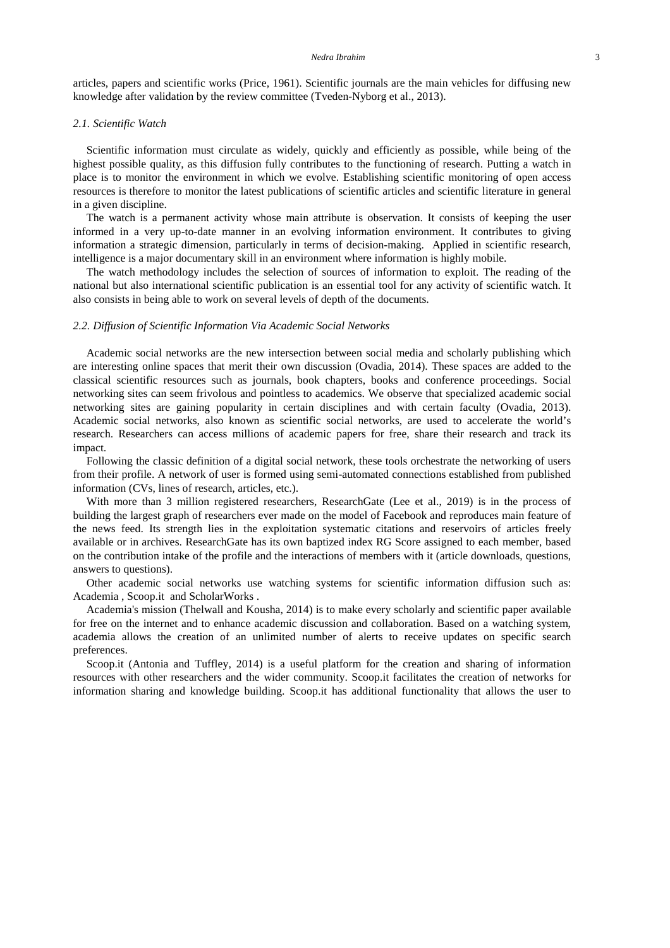articles, papers and scientific works (Price, 1961). Scientific journals are the main vehicles for diffusing new knowledge after validation by the review committee (Tveden-Nyborg et al., 2013).

#### *2.1. Scientific Watch*

Scientific information must circulate as widely, quickly and efficiently as possible, while being of the highest possible quality, as this diffusion fully contributes to the functioning of research. Putting a watch in place is to monitor the environment in which we evolve. Establishing scientific monitoring of open access resources is therefore to monitor the latest publications of scientific articles and scientific literature in general in a given discipline.

The watch is a permanent activity whose main attribute is observation. It consists of keeping the user informed in a very up-to-date manner in an evolving information environment. It contributes to giving information a strategic dimension, particularly in terms of decision-making. Applied in scientific research, intelligence is a major documentary skill in an environment where information is highly mobile.

The watch methodology includes the selection of sources of information to exploit. The reading of the national but also international scientific publication is an essential tool for any activity of scientific watch. It also consists in being able to work on several levels of depth of the documents.

#### *2.2. Diffusion of Scientific Information Via Academic Social Networks*

Academic social networks are the new intersection between social media and scholarly publishing which are interesting online spaces that merit their own discussion (Ovadia, 2014). These spaces are added to the classical scientific resources such as journals, book chapters, books and conference proceedings. Social networking sites can seem frivolous and pointless to academics. We observe that specialized academic social networking sites are gaining popularity in certain disciplines and with certain faculty (Ovadia, 2013). Academic social networks, also known as scientific social networks, are used to accelerate the world's research. Researchers can access millions of academic papers for free, share their research and track its impact.

Following the classic definition of a digital social network, these tools orchestrate the networking of users from their profile. A network of user is formed using semi-automated connections established from published information (CVs, lines of research, articles, etc.).

With more than 3 million registered researchers, ResearchGate (Lee et al., 2019) is in the process of building the largest graph of researchers ever made on the model of Facebook and reproduces main feature of the news feed. Its strength lies in the exploitation systematic citations and reservoirs of articles freely available or in archives. ResearchGate has its own baptized index RG Score assigned to each member, based on the contribution intake of the profile and the interactions of members with it (article downloads, questions, answers to questions).

Other academic social networks use watching systems for scientific information diffusion such as: Academia , Scoop.it and ScholarWorks .

Academia's mission (Thelwall and Kousha, 2014) is to make every scholarly and scientific paper available for free on the internet and to enhance academic discussion and collaboration. Based on a watching system, academia allows the creation of an unlimited number of alerts to receive updates on specific search preferences.

Scoop.it (Antonia and Tuffley, 2014) is a useful platform for the creation and sharing of information resources with other researchers and the wider community. Scoop.it facilitates the creation of networks for information sharing and knowledge building. Scoop.it has additional functionality that allows the user to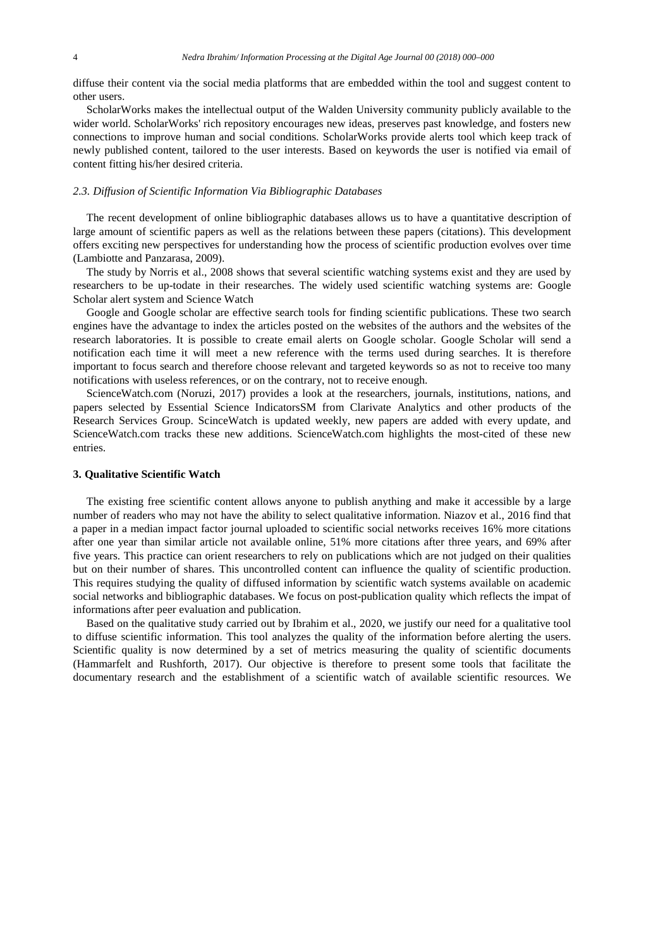diffuse their content via the social media platforms that are embedded within the tool and suggest content to other users.

ScholarWorks makes the intellectual output of the Walden University community publicly available to the wider world. ScholarWorks' rich repository encourages new ideas, preserves past knowledge, and fosters new connections to improve human and social conditions. ScholarWorks provide alerts tool which keep track of newly published content, tailored to the user interests. Based on keywords the user is notified via email of content fitting his/her desired criteria.

#### *2.3. Diffusion of Scientific Information Via Bibliographic Databases*

The recent development of online bibliographic databases allows us to have a quantitative description of large amount of scientific papers as well as the relations between these papers (citations). This development offers exciting new perspectives for understanding how the process of scientific production evolves over time (Lambiotte and Panzarasa, 2009).

The study by Norris et al., 2008 shows that several scientific watching systems exist and they are used by researchers to be up-todate in their researches. The widely used scientific watching systems are: Google Scholar alert system and Science Watch

Google and Google scholar are effective search tools for finding scientific publications. These two search engines have the advantage to index the articles posted on the websites of the authors and the websites of the research laboratories. It is possible to create email alerts on Google scholar. Google Scholar will send a notification each time it will meet a new reference with the terms used during searches. It is therefore important to focus search and therefore choose relevant and targeted keywords so as not to receive too many notifications with useless references, or on the contrary, not to receive enough.

ScienceWatch.com (Noruzi, 2017) provides a look at the researchers, journals, institutions, nations, and papers selected by Essential Science IndicatorsSM from Clarivate Analytics and other products of the Research Services Group. ScinceWatch is updated weekly, new papers are added with every update, and ScienceWatch.com tracks these new additions. ScienceWatch.com highlights the most-cited of these new entries.

# **3. Qualitative Scientific Watch**

The existing free scientific content allows anyone to publish anything and make it accessible by a large number of readers who may not have the ability to select qualitative information. Niazov et al., 2016 find that a paper in a median impact factor journal uploaded to scientific social networks receives 16% more citations after one year than similar article not available online, 51% more citations after three years, and 69% after five years. This practice can orient researchers to rely on publications which are not judged on their qualities but on their number of shares. This uncontrolled content can influence the quality of scientific production. This requires studying the quality of diffused information by scientific watch systems available on academic social networks and bibliographic databases. We focus on post-publication quality which reflects the impat of informations after peer evaluation and publication.

Based on the qualitative study carried out by Ibrahim et al., 2020, we justify our need for a qualitative tool to diffuse scientific information. This tool analyzes the quality of the information before alerting the users. Scientific quality is now determined by a set of metrics measuring the quality of scientific documents (Hammarfelt and Rushforth, 2017). Our objective is therefore to present some tools that facilitate the documentary research and the establishment of a scientific watch of available scientific resources. We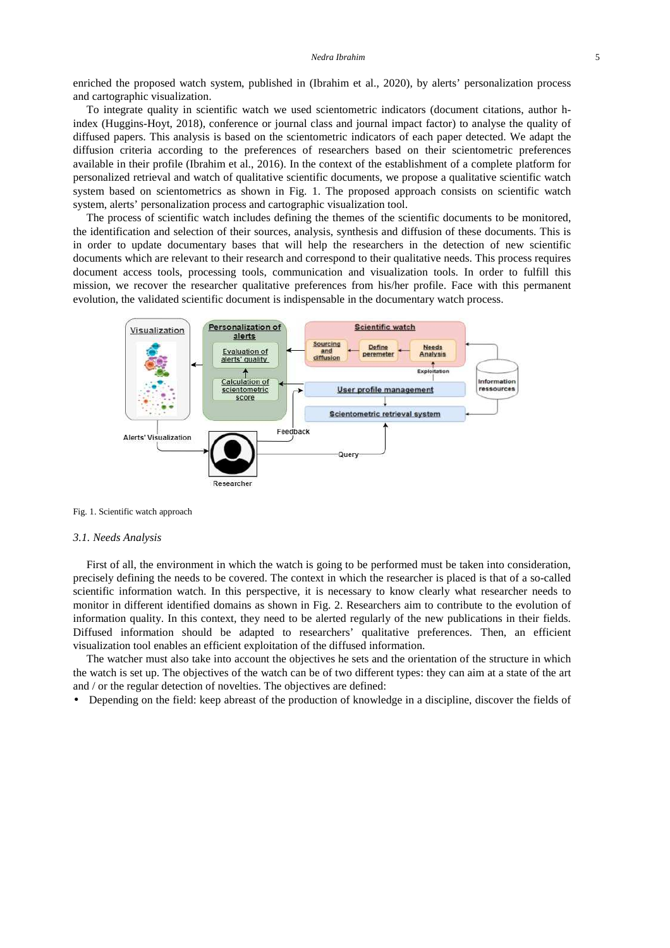enriched the proposed watch system, published in (Ibrahim et al., 2020), by alerts' personalization process and cartographic visualization.

To integrate quality in scientific watch we used scientometric indicators (document citations, author hindex (Huggins-Hoyt, 2018), conference or journal class and journal impact factor) to analyse the quality of diffused papers. This analysis is based on the scientometric indicators of each paper detected. We adapt the diffusion criteria according to the preferences of researchers based on their scientometric preferences available in their profile (Ibrahim et al., 2016). In the context of the establishment of a complete platform for personalized retrieval and watch of qualitative scientific documents, we propose a qualitative scientific watch system based on scientometrics as shown in Fig. 1. The proposed approach consists on scientific watch system, alerts' personalization process and cartographic visualization tool.

The process of scientific watch includes defining the themes of the scientific documents to be monitored, the identification and selection of their sources, analysis, synthesis and diffusion of these documents. This is in order to update documentary bases that will help the researchers in the detection of new scientific documents which are relevant to their research and correspond to their qualitative needs. This process requires document access tools, processing tools, communication and visualization tools. In order to fulfill this mission, we recover the researcher qualitative preferences from his/her profile. Face with this permanent evolution, the validated scientific document is indispensable in the documentary watch process.





#### *3.1. Needs Analysis*

First of all, the environment in which the watch is going to be performed must be taken into consideration, precisely defining the needs to be covered. The context in which the researcher is placed is that of a so-called scientific information watch. In this perspective, it is necessary to know clearly what researcher needs to monitor in different identified domains as shown in Fig. 2. Researchers aim to contribute to the evolution of information quality. In this context, they need to be alerted regularly of the new publications in their fields. Diffused information should be adapted to researchers' qualitative preferences. Then, an efficient visualization tool enables an efficient exploitation of the diffused information.

The watcher must also take into account the objectives he sets and the orientation of the structure in which the watch is set up. The objectives of the watch can be of two different types: they can aim at a state of the art and / or the regular detection of novelties. The objectives are defined:

• Depending on the field: keep abreast of the production of knowledge in a discipline, discover the fields of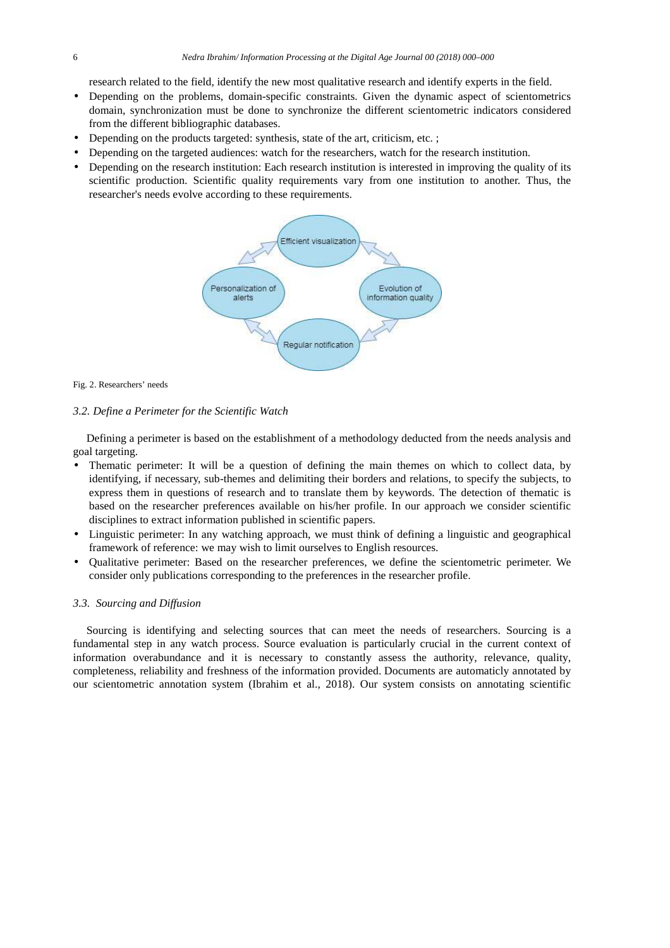research related to the field, identify the new most qualitative research and identify experts in the field.

- Depending on the problems, domain-specific constraints. Given the dynamic aspect of scientometrics domain, synchronization must be done to synchronize the different scientometric indicators considered from the different bibliographic databases.
- Depending on the products targeted: synthesis, state of the art, criticism, etc. ;
- Depending on the targeted audiences: watch for the researchers, watch for the research institution.
- Depending on the research institution: Each research institution is interested in improving the quality of its scientific production. Scientific quality requirements vary from one institution to another. Thus, the researcher's needs evolve according to these requirements.



#### Fig. 2. Researchers' needs

# *3.2. Define a Perimeter for the Scientific Watch*

Defining a perimeter is based on the establishment of a methodology deducted from the needs analysis and goal targeting.

- Thematic perimeter: It will be a question of defining the main themes on which to collect data, by identifying, if necessary, sub-themes and delimiting their borders and relations, to specify the subjects, to express them in questions of research and to translate them by keywords. The detection of thematic is based on the researcher preferences available on his/her profile. In our approach we consider scientific disciplines to extract information published in scientific papers.
- Linguistic perimeter: In any watching approach, we must think of defining a linguistic and geographical framework of reference: we may wish to limit ourselves to English resources.
- Qualitative perimeter: Based on the researcher preferences, we define the scientometric perimeter. We consider only publications corresponding to the preferences in the researcher profile.

## *3.3. Sourcing and Diffusion*

Sourcing is identifying and selecting sources that can meet the needs of researchers. Sourcing is a fundamental step in any watch process. Source evaluation is particularly crucial in the current context of information overabundance and it is necessary to constantly assess the authority, relevance, quality, completeness, reliability and freshness of the information provided. Documents are automaticly annotated by our scientometric annotation system (Ibrahim et al., 2018). Our system consists on annotating scientific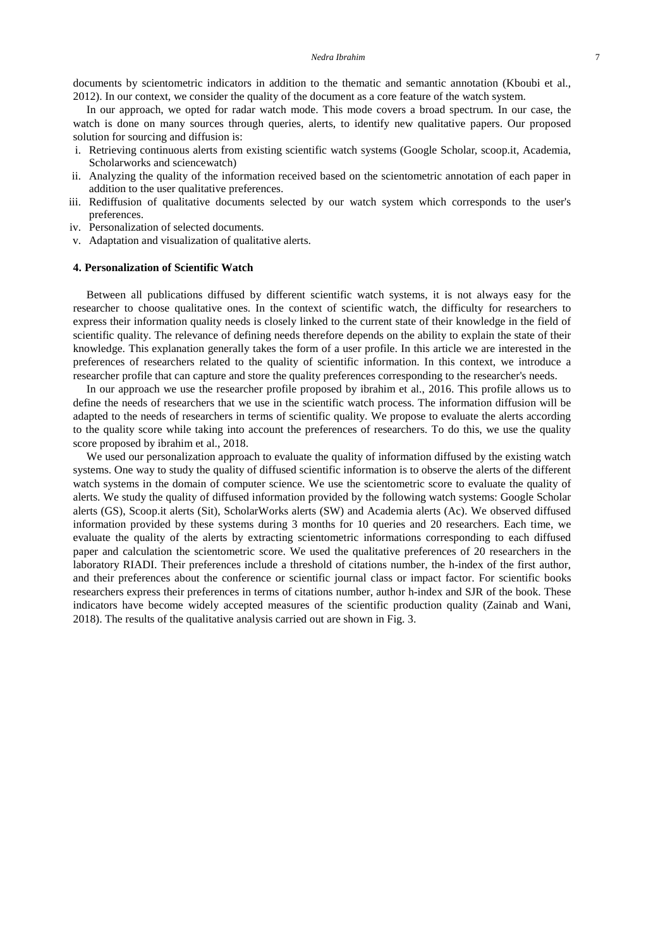#### *Nedra Ibrahim* 7

documents by scientometric indicators in addition to the thematic and semantic annotation (Kboubi et al., 2012). In our context, we consider the quality of the document as a core feature of the watch system.

In our approach, we opted for radar watch mode. This mode covers a broad spectrum. In our case, the watch is done on many sources through queries, alerts, to identify new qualitative papers. Our proposed solution for sourcing and diffusion is:

- i. Retrieving continuous alerts from existing scientific watch systems (Google Scholar, scoop.it, Academia, Scholarworks and sciencewatch)
- ii. Analyzing the quality of the information received based on the scientometric annotation of each paper in addition to the user qualitative preferences.
- iii. Rediffusion of qualitative documents selected by our watch system which corresponds to the user's preferences.
- iv. Personalization of selected documents.
- v. Adaptation and visualization of qualitative alerts.

#### **4. Personalization of Scientific Watch**

Between all publications diffused by different scientific watch systems, it is not always easy for the researcher to choose qualitative ones. In the context of scientific watch, the difficulty for researchers to express their information quality needs is closely linked to the current state of their knowledge in the field of scientific quality. The relevance of defining needs therefore depends on the ability to explain the state of their knowledge. This explanation generally takes the form of a user profile. In this article we are interested in the preferences of researchers related to the quality of scientific information. In this context, we introduce a researcher profile that can capture and store the quality preferences corresponding to the researcher's needs.

In our approach we use the researcher profile proposed by ibrahim et al., 2016. This profile allows us to define the needs of researchers that we use in the scientific watch process. The information diffusion will be adapted to the needs of researchers in terms of scientific quality. We propose to evaluate the alerts according to the quality score while taking into account the preferences of researchers. To do this, we use the quality score proposed by ibrahim et al., 2018.

We used our personalization approach to evaluate the quality of information diffused by the existing watch systems. One way to study the quality of diffused scientific information is to observe the alerts of the different watch systems in the domain of computer science. We use the scientometric score to evaluate the quality of alerts. We study the quality of diffused information provided by the following watch systems: Google Scholar alerts (GS), Scoop.it alerts (Sit), ScholarWorks alerts (SW) and Academia alerts (Ac). We observed diffused information provided by these systems during 3 months for 10 queries and 20 researchers. Each time, we evaluate the quality of the alerts by extracting scientometric informations corresponding to each diffused paper and calculation the scientometric score. We used the qualitative preferences of 20 researchers in the laboratory RIADI. Their preferences include a threshold of citations number, the h-index of the first author, and their preferences about the conference or scientific journal class or impact factor. For scientific books researchers express their preferences in terms of citations number, author h-index and SJR of the book. These indicators have become widely accepted measures of the scientific production quality (Zainab and Wani, 2018). The results of the qualitative analysis carried out are shown in Fig. 3.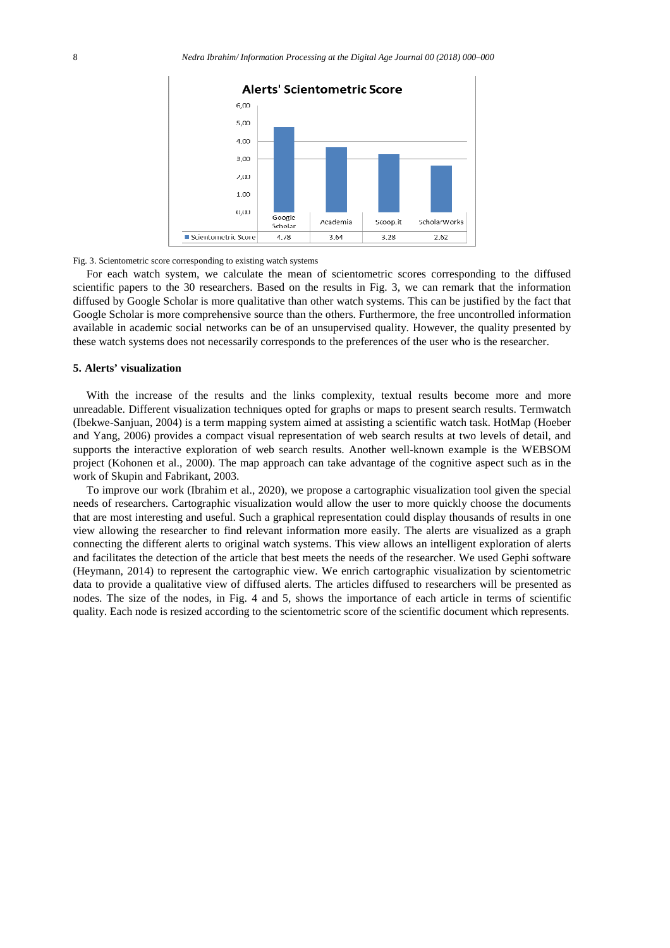

Fig. 3. Scientometric score corresponding to existing watch systems

For each watch system, we calculate the mean of scientometric scores corresponding to the diffused scientific papers to the 30 researchers. Based on the results in Fig. 3, we can remark that the information diffused by Google Scholar is more qualitative than other watch systems. This can be justified by the fact that Google Scholar is more comprehensive source than the others. Furthermore, the free uncontrolled information available in academic social networks can be of an unsupervised quality. However, the quality presented by these watch systems does not necessarily corresponds to the preferences of the user who is the researcher.

#### **5. Alerts' visualization**

With the increase of the results and the links complexity, textual results become more and more unreadable. Different visualization techniques opted for graphs or maps to present search results. Termwatch (Ibekwe-Sanjuan, 2004) is a term mapping system aimed at assisting a scientific watch task. HotMap (Hoeber and Yang, 2006) provides a compact visual representation of web search results at two levels of detail, and supports the interactive exploration of web search results. Another well-known example is the WEBSOM project (Kohonen et al., 2000). The map approach can take advantage of the cognitive aspect such as in the work of Skupin and Fabrikant, 2003.

To improve our work (Ibrahim et al., 2020), we propose a cartographic visualization tool given the special needs of researchers. Cartographic visualization would allow the user to more quickly choose the documents that are most interesting and useful. Such a graphical representation could display thousands of results in one view allowing the researcher to find relevant information more easily. The alerts are visualized as a graph connecting the different alerts to original watch systems. This view allows an intelligent exploration of alerts and facilitates the detection of the article that best meets the needs of the researcher. We used Gephi software (Heymann, 2014) to represent the cartographic view. We enrich cartographic visualization by scientometric data to provide a qualitative view of diffused alerts. The articles diffused to researchers will be presented as nodes. The size of the nodes, in Fig. 4 and 5, shows the importance of each article in terms of scientific quality. Each node is resized according to the scientometric score of the scientific document which represents.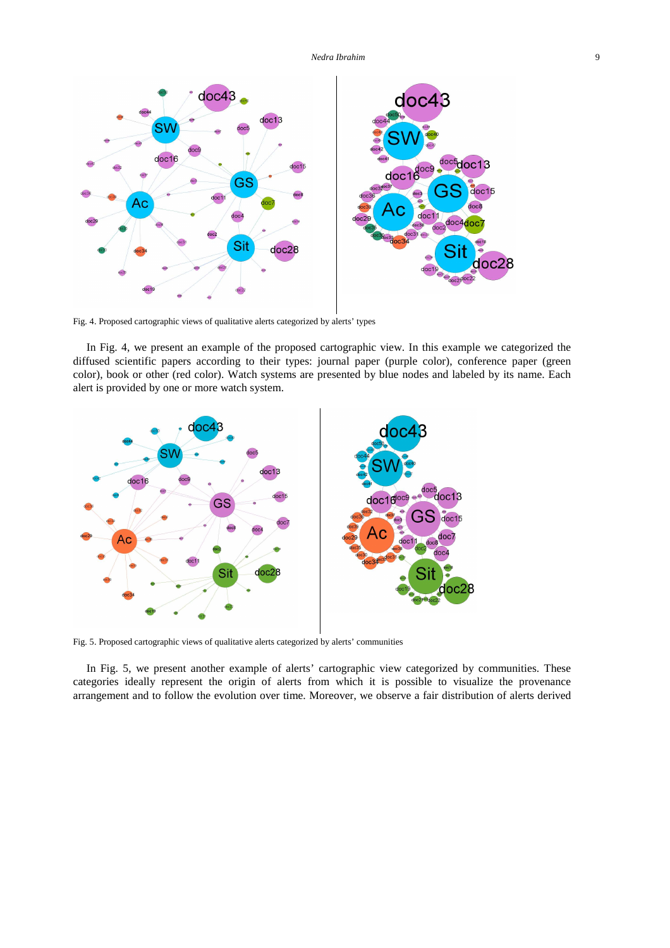

Fig. 4. Proposed cartographic views of qualitative alerts categorized by alerts' types

In Fig. 4, we present an example of the proposed cartographic view. In this example we categorized the diffused scientific papers according to their types: journal paper (purple color), conference paper (green color), book or other (red color). Watch systems are presented by blue nodes and labeled by its name. Each alert is provided by one or more watch system.



Fig. 5. Proposed cartographic views of qualitative alerts categorized by alerts' communities

In Fig. 5, we present another example of alerts' cartographic view categorized by communities. These categories ideally represent the origin of alerts from which it is possible to visualize the provenance arrangement and to follow the evolution over time. Moreover, we observe a fair distribution of alerts derived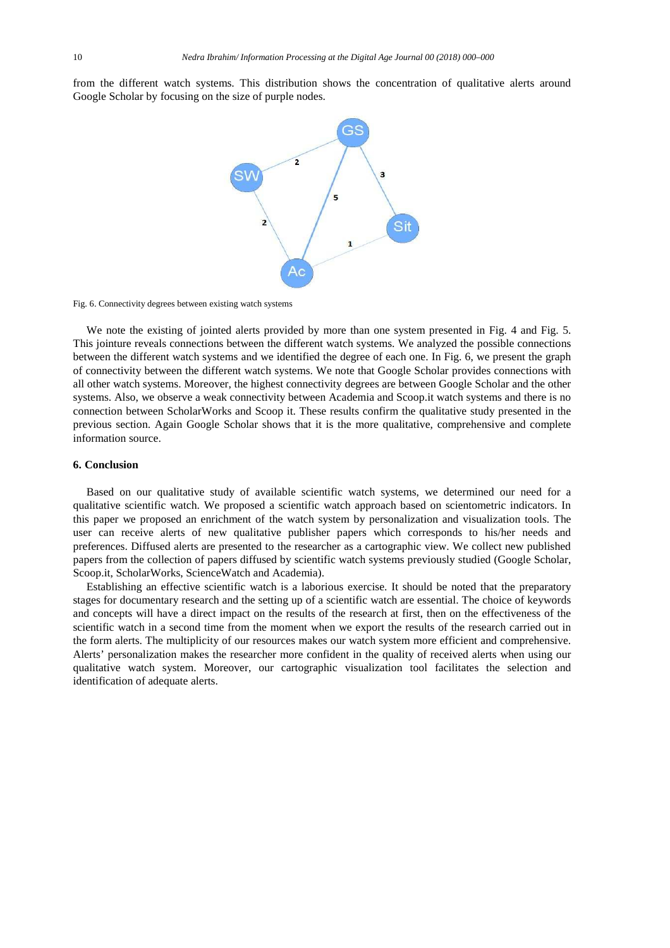from the different watch systems. This distribution shows the concentration of qualitative alerts around Google Scholar by focusing on the size of purple nodes.



Fig. 6. Connectivity degrees between existing watch systems

We note the existing of jointed alerts provided by more than one system presented in Fig. 4 and Fig. 5. This jointure reveals connections between the different watch systems. We analyzed the possible connections between the different watch systems and we identified the degree of each one. In Fig. 6, we present the graph of connectivity between the different watch systems. We note that Google Scholar provides connections with all other watch systems. Moreover, the highest connectivity degrees are between Google Scholar and the other systems. Also, we observe a weak connectivity between Academia and Scoop.it watch systems and there is no connection between ScholarWorks and Scoop it. These results confirm the qualitative study presented in the previous section. Again Google Scholar shows that it is the more qualitative, comprehensive and complete information source.

# **6. Conclusion**

Based on our qualitative study of available scientific watch systems, we determined our need for a qualitative scientific watch. We proposed a scientific watch approach based on scientometric indicators. In this paper we proposed an enrichment of the watch system by personalization and visualization tools. The user can receive alerts of new qualitative publisher papers which corresponds to his/her needs and preferences. Diffused alerts are presented to the researcher as a cartographic view. We collect new published papers from the collection of papers diffused by scientific watch systems previously studied (Google Scholar, Scoop.it, ScholarWorks, ScienceWatch and Academia).

Establishing an effective scientific watch is a laborious exercise. It should be noted that the preparatory stages for documentary research and the setting up of a scientific watch are essential. The choice of keywords and concepts will have a direct impact on the results of the research at first, then on the effectiveness of the scientific watch in a second time from the moment when we export the results of the research carried out in the form alerts. The multiplicity of our resources makes our watch system more efficient and comprehensive. Alerts' personalization makes the researcher more confident in the quality of received alerts when using our qualitative watch system. Moreover, our cartographic visualization tool facilitates the selection and identification of adequate alerts.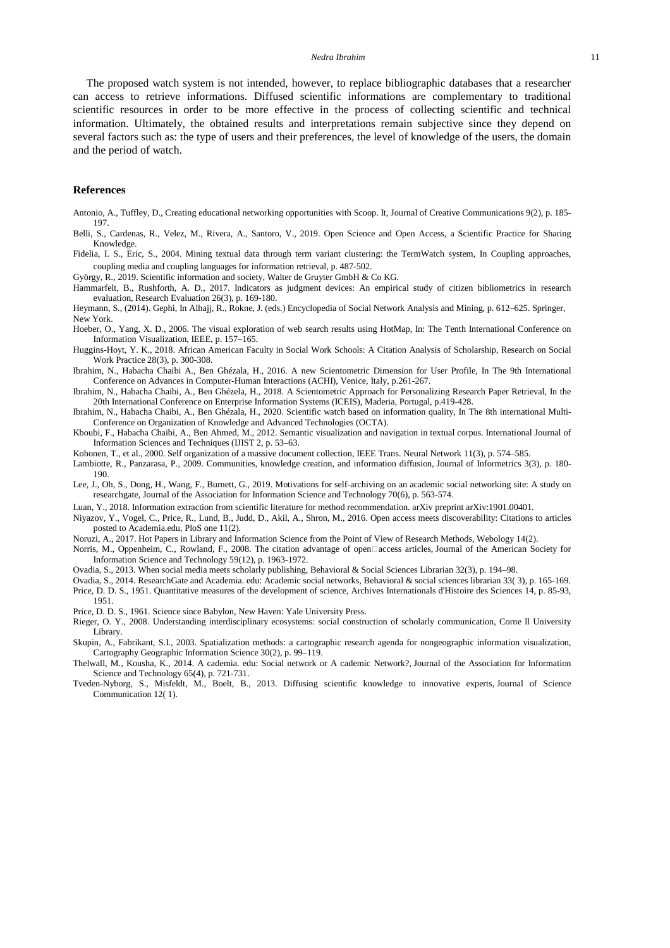The proposed watch system is not intended, however, to replace bibliographic databases that a researcher can access to retrieve informations. Diffused scientific informations are complementary to traditional scientific resources in order to be more effective in the process of collecting scientific and technical information. Ultimately, the obtained results and interpretations remain subjective since they depend on several factors such as: the type of users and their preferences, the level of knowledge of the users, the domain and the period of watch.

#### **References**

- Antonio, A., Tuffley, D., Creating educational networking opportunities with Scoop. It, Journal of Creative Communications 9(2), p. 185- 197.
- Belli, S., Cardenas, R., Velez, M., Rivera, A., Santoro, V., 2019. Open Science and Open Access, a Scientific Practice for Sharing Knowledge.
- Fidelia, I. S., Eric, S., 2004. Mining textual data through term variant clustering: the TermWatch system, In Coupling approaches, coupling media and coupling languages for information retrieval, p. 487-502.

György, R., 2019. Scientific information and society, Walter de Gruyter GmbH & Co KG.

Hammarfelt, B., Rushforth, A. D., 2017. Indicators as judgment devices: An empirical study of citizen bibliometrics in research evaluation, Research Evaluation 26(3), p. 169-180.

Heymann, S., (2014). Gephi, In Alhajj, R., Rokne, J. (eds.) Encyclopedia of Social Network Analysis and Mining, p. 612–625. Springer, New York.

- Hoeber, O., Yang, X. D., 2006. The visual exploration of web search results using HotMap, In: The Tenth International Conference on Information Visualization, IEEE, p. 157–165.
- Huggins-Hoyt, Y. K., 2018. African American Faculty in Social Work Schools: A Citation Analysis of Scholarship, Research on Social Work Practice 28(3), p. 300-308.
- Ibrahim, N., Habacha Chaibi A., Ben Ghézala, H., 2016. A new Scientometric Dimension for User Profile, In The 9th International Conference on Advances in Computer-Human Interactions (ACHI), Venice, Italy, p.261-267.
- Ibrahim, N., Habacha Chaibi, A., Ben Ghézela, H., 2018. A Scientometric Approach for Personalizing Research Paper Retrieval, In the 20th International Conference on Enterprise Information Systems (ICEIS), Maderia, Portugal, p.419-428.
- Ibrahim, N., Habacha Chaibi, A., Ben Ghézala, H., 2020. Scientific watch based on information quality, In The 8th international Multi-Conference on Organization of Knowledge and Advanced Technologies (OCTA).
- Kboubi, F., Habacha Chaibi, A., Ben Ahmed, M., 2012. Semantic visualization and navigation in textual corpus. International Journal of Information Sciences and Techniques (IJIST 2, p. 53–63.

Kohonen, T., et al., 2000. Self organization of a massive document collection, IEEE Trans. Neural Network 11(3), p. 574–585.

- Lambiotte, R., Panzarasa, P., 2009. Communities, knowledge creation, and information diffusion, Journal of Informetrics 3(3), p. 180- 190.
- Lee, J., Oh, S., Dong, H., Wang, F., Burnett, G., 2019. Motivations for self-archiving on an academic social networking site: A study on researchgate, Journal of the Association for Information Science and Technology 70(6), p. 563-574.

Luan, Y., 2018. Information extraction from scientific literature for method recommendation. arXiv preprint arXiv:1901.00401.

Niyazov, Y., Vogel, C., Price, R., Lund, B., Judd, D., Akil, A., Shron, M., 2016. Open access meets discoverability: Citations to articles posted to Academia.edu, PloS one 11(2).

Noruzi, A., 2017. Hot Papers in Library and Information Science from the Point of View of Research Methods, Webology 14(2).

Norris, M., Oppenheim, C., Rowland, F., 2008. The citation advantage of openaccess articles, Journal of the American Society for Information Science and Technology 59(12), p. 1963-1972.

Ovadia, S., 2013. When social media meets scholarly publishing, Behavioral & Social Sciences Librarian 32(3), p. 194–98.

Ovadia, S., 2014. ResearchGate and Academia. edu: Academic social networks, Behavioral & social sciences librarian 33( 3), p. 165-169. Price, D. D. S., 1951. Quantitative measures of the development of science, Archives Internationals d'Histoire des Sciences 14, p. 85-93, 1951.

Price, D. D. S., 1961. Science since Babylon, New Haven: Yale University Press.

- Rieger, O. Y., 2008. Understanding interdisciplinary ecosystems: social construction of scholarly communication, Corne ll University Library.
- Skupin, A., Fabrikant, S.I., 2003. Spatialization methods: a cartographic research agenda for nongeographic information visualization, Cartography Geographic Information Science 30(2), p. 99–119.
- Thelwall, M., Kousha, K., 2014. A cademia. edu: Social network or A cademic Network?, Journal of the Association for Information Science and Technology 65(4), p. 721-731.
- Tveden-Nyborg, S., Misfeldt, M., Boelt, B., 2013. Diffusing scientific knowledge to innovative experts, Journal of Science Communication 12( 1).